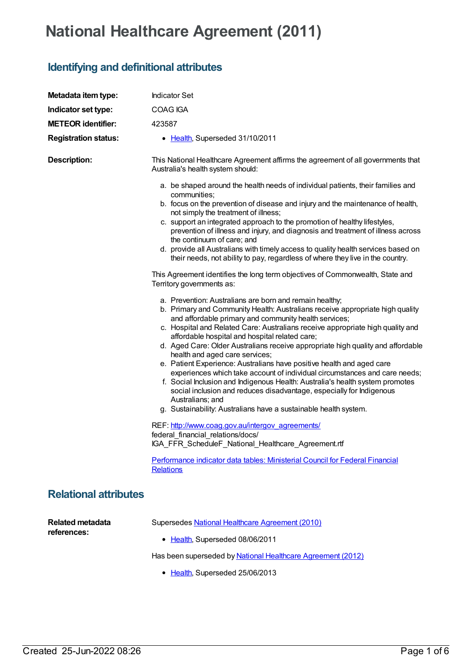## **National Healthcare Agreement (2011)**

## **Identifying and definitional attributes**

| Metadata item type:                    | <b>Indicator Set</b>                                                                                                                                                                                                                                                                                                                                                                                                                                                                                                                                                                                                                                                                                                                                                                                                                                               |
|----------------------------------------|--------------------------------------------------------------------------------------------------------------------------------------------------------------------------------------------------------------------------------------------------------------------------------------------------------------------------------------------------------------------------------------------------------------------------------------------------------------------------------------------------------------------------------------------------------------------------------------------------------------------------------------------------------------------------------------------------------------------------------------------------------------------------------------------------------------------------------------------------------------------|
| Indicator set type:                    | COAG IGA                                                                                                                                                                                                                                                                                                                                                                                                                                                                                                                                                                                                                                                                                                                                                                                                                                                           |
| <b>METEOR identifier:</b>              | 423587                                                                                                                                                                                                                                                                                                                                                                                                                                                                                                                                                                                                                                                                                                                                                                                                                                                             |
| <b>Registration status:</b>            | • Health, Superseded 31/10/2011                                                                                                                                                                                                                                                                                                                                                                                                                                                                                                                                                                                                                                                                                                                                                                                                                                    |
| <b>Description:</b>                    | This National Healthcare Agreement affirms the agreement of all governments that<br>Australia's health system should:<br>a. be shaped around the health needs of individual patients, their families and<br>communities;                                                                                                                                                                                                                                                                                                                                                                                                                                                                                                                                                                                                                                           |
|                                        | b. focus on the prevention of disease and injury and the maintenance of health,<br>not simply the treatment of illness;<br>c. support an integrated approach to the promotion of healthy lifestyles,<br>prevention of illness and injury, and diagnosis and treatment of illness across<br>the continuum of care; and<br>d. provide all Australians with timely access to quality health services based on<br>their needs, not ability to pay, regardless of where they live in the country.                                                                                                                                                                                                                                                                                                                                                                       |
|                                        | This Agreement identifies the long term objectives of Commonwealth, State and<br>Territory governments as:                                                                                                                                                                                                                                                                                                                                                                                                                                                                                                                                                                                                                                                                                                                                                         |
|                                        | a. Prevention: Australians are born and remain healthy;<br>b. Primary and Community Health: Australians receive appropriate high quality<br>and affordable primary and community health services;<br>c. Hospital and Related Care: Australians receive appropriate high quality and<br>affordable hospital and hospital related care;<br>d. Aged Care: Older Australians receive appropriate high quality and affordable<br>health and aged care services;<br>e. Patient Experience: Australians have positive health and aged care<br>experiences which take account of individual circumstances and care needs;<br>f. Social Inclusion and Indigenous Health: Australia's health system promotes<br>social inclusion and reduces disadvantage, especially for Indigenous<br>Australians; and<br>g. Sustainability: Australians have a sustainable health system. |
|                                        | REF: http://www.coag.gov.au/intergov_agreements/<br>federal financial relations/docs/<br>IGA_FFR_ScheduleF_National_Healthcare_Agreement.rtf                                                                                                                                                                                                                                                                                                                                                                                                                                                                                                                                                                                                                                                                                                                       |
|                                        | Performance indicator data tables: Ministerial Council for Federal Financial<br><b>Relations</b>                                                                                                                                                                                                                                                                                                                                                                                                                                                                                                                                                                                                                                                                                                                                                                   |
| <b>Relational attributes</b>           |                                                                                                                                                                                                                                                                                                                                                                                                                                                                                                                                                                                                                                                                                                                                                                                                                                                                    |
| <b>Related metadata</b><br>references: | Supersedes National Healthcare Agreement (2010)<br>• Health, Superseded 08/06/2011<br>Has been superseded by National Healthcare Agreement (2012)                                                                                                                                                                                                                                                                                                                                                                                                                                                                                                                                                                                                                                                                                                                  |
|                                        | • Health, Superseded 25/06/2013                                                                                                                                                                                                                                                                                                                                                                                                                                                                                                                                                                                                                                                                                                                                                                                                                                    |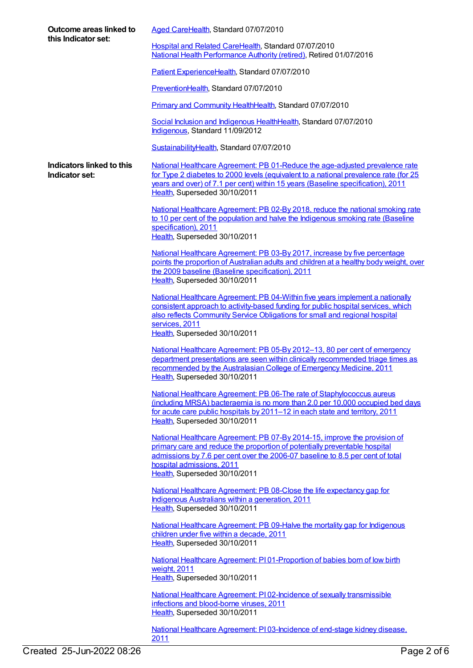| Outcome areas linked to<br>this Indicator set: | Aged CareHealth, Standard 07/07/2010                                                                                                                                                                                                                                                                   |
|------------------------------------------------|--------------------------------------------------------------------------------------------------------------------------------------------------------------------------------------------------------------------------------------------------------------------------------------------------------|
|                                                | Hospital and Related CareHealth, Standard 07/07/2010<br>National Health Performance Authority (retired), Retired 01/07/2016                                                                                                                                                                            |
|                                                | Patient ExperienceHealth, Standard 07/07/2010                                                                                                                                                                                                                                                          |
|                                                | PreventionHealth, Standard 07/07/2010                                                                                                                                                                                                                                                                  |
|                                                | Primary and Community HealthHealth, Standard 07/07/2010                                                                                                                                                                                                                                                |
|                                                | Social Inclusion and Indigenous HealthHealth, Standard 07/07/2010<br>Indigenous, Standard 11/09/2012                                                                                                                                                                                                   |
|                                                | SustainabilityHealth, Standard 07/07/2010                                                                                                                                                                                                                                                              |
| Indicators linked to this<br>Indicator set:    | National Healthcare Agreement: PB 01-Reduce the age-adjusted prevalence rate<br>for Type 2 diabetes to 2000 levels (equivalent to a national prevalence rate (for 25<br>years and over) of 7.1 per cent) within 15 years (Baseline specification), 2011<br>Health, Superseded 30/10/2011               |
|                                                | National Healthcare Agreement: PB 02-By 2018, reduce the national smoking rate<br>to 10 per cent of the population and halve the Indigenous smoking rate (Baseline<br>specification), 2011<br>Health, Superseded 30/10/2011                                                                            |
|                                                | National Healthcare Agreement: PB 03-By 2017, increase by five percentage<br>points the proportion of Australian adults and children at a healthy body weight, over<br>the 2009 baseline (Baseline specification), 2011<br>Health, Superseded 30/10/2011                                               |
|                                                | National Healthcare Agreement: PB 04-Within five years implement a nationally<br>consistent approach to activity-based funding for public hospital services, which<br>also reflects Community Service Obligations for small and regional hospital<br>services, 2011<br>Health, Superseded 30/10/2011   |
|                                                | National Healthcare Agreement: PB 05-By 2012-13, 80 per cent of emergency<br>department presentations are seen within clinically recommended triage times as<br>recommended by the Australasian College of Emergency Medicine, 2011<br>Health, Superseded 30/10/2011                                   |
|                                                | National Healthcare Agreement: PB 06-The rate of Staphylococcus aureus<br>(including MRSA) bacteraemia is no more than 2.0 per 10,000 occupied bed days<br>for acute care public hospitals by 2011-12 in each state and territory, 2011<br>Health, Superseded 30/10/2011                               |
|                                                | National Healthcare Agreement: PB 07-By 2014-15, improve the provision of<br>primary care and reduce the proportion of potentially preventable hospital<br>admissions by 7.6 per cent over the 2006-07 baseline to 8.5 per cent of total<br>hospital admissions, 2011<br>Health, Superseded 30/10/2011 |
|                                                | National Healthcare Agreement: PB 08-Close the life expectancy gap for<br>Indigenous Australians within a generation, 2011<br>Health, Superseded 30/10/2011                                                                                                                                            |
|                                                | National Healthcare Agreement: PB 09-Halve the mortality gap for Indigenous<br>children under five within a decade, 2011<br>Health, Superseded 30/10/2011                                                                                                                                              |
|                                                | National Healthcare Agreement: PI01-Proportion of babies born of low birth<br>weight, 2011<br>Health, Superseded 30/10/2011                                                                                                                                                                            |
|                                                | National Healthcare Agreement: PI02-Incidence of sexually transmissible<br>infections and blood-borne viruses, 2011<br>Health, Superseded 30/10/2011                                                                                                                                                   |
|                                                | National Healthcare Agreement: PI03-Incidence of end-stage kidney disease.<br>2011                                                                                                                                                                                                                     |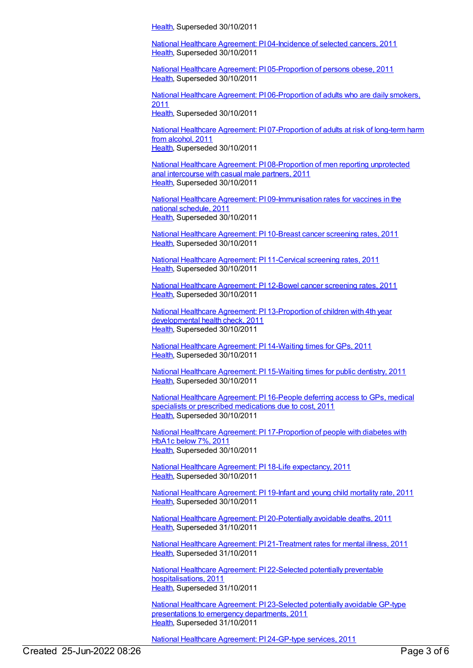[Health](https://meteor.aihw.gov.au/RegistrationAuthority/12), Superseded 30/10/2011

National Healthcare Agreement: PI [04-Incidence](https://meteor.aihw.gov.au/content/421693) of selected cancers, 2011 [Health](https://meteor.aihw.gov.au/RegistrationAuthority/12), Superseded 30/10/2011

National Healthcare Agreement: PI [05-Proportion](https://meteor.aihw.gov.au/content/421691) of persons obese, 2011 [Health](https://meteor.aihw.gov.au/RegistrationAuthority/12), Superseded 30/10/2011

National Healthcare Agreement: PI [06-Proportion](https://meteor.aihw.gov.au/content/421689) of adults who are daily smokers, 2011

[Health](https://meteor.aihw.gov.au/RegistrationAuthority/12), Superseded 30/10/2011

National Healthcare Agreement: PI [07-Proportion](https://meteor.aihw.gov.au/content/421687) of adults at risk of long-term harm from alcohol, 2011 [Health](https://meteor.aihw.gov.au/RegistrationAuthority/12), Superseded 30/10/2011

National Healthcare Agreement: PI [08-Proportion](https://meteor.aihw.gov.au/content/402398) of men reporting unprotected anal intercourse with casual male partners, 2011 [Health](https://meteor.aihw.gov.au/RegistrationAuthority/12), Superseded 30/10/2011

National Healthcare Agreement: PI [09-Immunisation](https://meteor.aihw.gov.au/content/421684) rates for vaccines in the national schedule, 2011 [Health](https://meteor.aihw.gov.au/RegistrationAuthority/12), Superseded 30/10/2011

National Healthcare [Agreement:](https://meteor.aihw.gov.au/content/421676) PI 10-Breast cancer screening rates, 2011 [Health](https://meteor.aihw.gov.au/RegistrationAuthority/12), Superseded 30/10/2011

National Healthcare [Agreement:](https://meteor.aihw.gov.au/content/421674) PI 11-Cervical screening rates, 2011 [Health](https://meteor.aihw.gov.au/RegistrationAuthority/12), Superseded 30/10/2011

National Healthcare [Agreement:](https://meteor.aihw.gov.au/content/421662) PI 12-Bowel cancer screening rates, 2011 [Health](https://meteor.aihw.gov.au/RegistrationAuthority/12), Superseded 30/10/2011

National Healthcare Agreement: PI [13-Proportion](https://meteor.aihw.gov.au/content/421660) of children with 4th year developmental health check, 2011 [Health](https://meteor.aihw.gov.au/RegistrationAuthority/12), Superseded 30/10/2011

National Healthcare [Agreement:](https://meteor.aihw.gov.au/content/402424) PI 14-Waiting times for GPs, 2011 [Health](https://meteor.aihw.gov.au/RegistrationAuthority/12), Superseded 30/10/2011

National Healthcare [Agreement:](https://meteor.aihw.gov.au/content/402296) PI 15-Waiting times for public dentistry, 2011 [Health](https://meteor.aihw.gov.au/RegistrationAuthority/12), Superseded 30/10/2011

National Healthcare [Agreement:](https://meteor.aihw.gov.au/content/402433) PI 16-People deferring access to GPs, medical specialists or prescribed medications due to cost, 2011 [Health](https://meteor.aihw.gov.au/RegistrationAuthority/12), Superseded 30/10/2011

National Healthcare Agreement: PI [17-Proportion](https://meteor.aihw.gov.au/content/402420) of people with diabetes with HbA1c below 7%, 2011 [Health](https://meteor.aihw.gov.au/RegistrationAuthority/12), Superseded 30/10/2011

National Healthcare Agreement: PI 18-Life [expectancy,](https://meteor.aihw.gov.au/content/421657) 2011 [Health](https://meteor.aihw.gov.au/RegistrationAuthority/12), Superseded 30/10/2011

National Healthcare [Agreement:](https://meteor.aihw.gov.au/content/421655) PI 19-Infant and young child mortality rate, 2011 [Health](https://meteor.aihw.gov.au/RegistrationAuthority/12), Superseded 30/10/2011

National Healthcare Agreement: PI [20-Potentially](https://meteor.aihw.gov.au/content/421653) avoidable deaths, 2011 [Health](https://meteor.aihw.gov.au/RegistrationAuthority/12), Superseded 31/10/2011

National Healthcare Agreement: PI [21-Treatment](https://meteor.aihw.gov.au/content/421651) rates for mental illness, 2011 [Health](https://meteor.aihw.gov.au/RegistrationAuthority/12), Superseded 31/10/2011

National Healthcare Agreement: PI 22-Selected potentially preventable [hospitalisations,](https://meteor.aihw.gov.au/content/421649) 2011 [Health](https://meteor.aihw.gov.au/RegistrationAuthority/12), Superseded 31/10/2011

National Healthcare Agreement: PI [23-Selected](https://meteor.aihw.gov.au/content/421647) potentially avoidable GP-type presentations to emergency departments, 2011 [Health](https://meteor.aihw.gov.au/RegistrationAuthority/12), Superseded 31/10/2011

National Healthcare [Agreement:](https://meteor.aihw.gov.au/content/421644) PI 24-GP-type services, 2011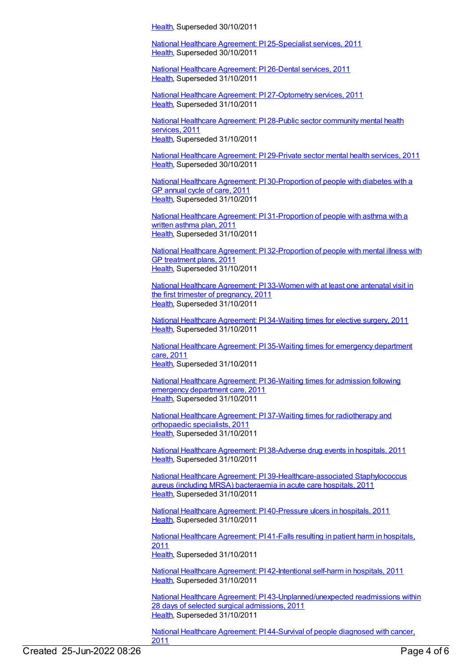[Health](https://meteor.aihw.gov.au/RegistrationAuthority/12), Superseded 30/10/2011

National Healthcare Agreement: PI [25-Specialist](https://meteor.aihw.gov.au/content/421642) services, 2011 [Health](https://meteor.aihw.gov.au/RegistrationAuthority/12), Superseded 30/10/2011

National Healthcare [Agreement:](https://meteor.aihw.gov.au/content/421640) PI 26-Dental services, 2011 [Health](https://meteor.aihw.gov.au/RegistrationAuthority/12), Superseded 31/10/2011

National Healthcare Agreement: PI [27-Optometry](https://meteor.aihw.gov.au/content/421638) services, 2011 [Health](https://meteor.aihw.gov.au/RegistrationAuthority/12), Superseded 31/10/2011

National Healthcare [Agreement:](https://meteor.aihw.gov.au/content/421636) PI 28-Public sector community mental health services, 2011 [Health](https://meteor.aihw.gov.au/RegistrationAuthority/12), Superseded 31/10/2011

National Healthcare [Agreement:](https://meteor.aihw.gov.au/content/421633) PI 29-Private sector mental health services, 2011 [Health](https://meteor.aihw.gov.au/RegistrationAuthority/12), Superseded 30/10/2011

National Healthcare Agreement: PI [30-Proportion](https://meteor.aihw.gov.au/content/421631) of people with diabetes with a GP annual cycle of care, 2011 [Health](https://meteor.aihw.gov.au/RegistrationAuthority/12), Superseded 31/10/2011

National Healthcare Agreement: PI [31-Proportion](https://meteor.aihw.gov.au/content/421629) of people with asthma with a written asthma plan, 2011 [Health](https://meteor.aihw.gov.au/RegistrationAuthority/12), Superseded 31/10/2011

National Healthcare Agreement: PI [32-Proportion](https://meteor.aihw.gov.au/content/421627) of people with mental illness with GP treatment plans, 2011 [Health](https://meteor.aihw.gov.au/RegistrationAuthority/12), Superseded 31/10/2011

National Healthcare [Agreement:](https://meteor.aihw.gov.au/content/421625) PI 33-Women with at least one antenatal visit in the first trimester of pregnancy, 2011 [Health](https://meteor.aihw.gov.au/RegistrationAuthority/12), Superseded 31/10/2011

National Healthcare [Agreement:](https://meteor.aihw.gov.au/content/421623) PI 34-Waiting times for elective surgery, 2011 [Health](https://meteor.aihw.gov.au/RegistrationAuthority/12), Superseded 31/10/2011

National Healthcare [Agreement:](https://meteor.aihw.gov.au/content/421621) PI 35-Waiting times for emergency department care, 2011 [Health](https://meteor.aihw.gov.au/RegistrationAuthority/12), Superseded 31/10/2011

National Healthcare [Agreement:](https://meteor.aihw.gov.au/content/402439) PI 36-Waiting times for admission following emergency department care, 2011 [Health](https://meteor.aihw.gov.au/RegistrationAuthority/12), Superseded 31/10/2011

National Healthcare Agreement: PI 37-Waiting times for [radiotherapy](https://meteor.aihw.gov.au/content/402443) and orthopaedic specialists, 2011 [Health](https://meteor.aihw.gov.au/RegistrationAuthority/12), Superseded 31/10/2011

National Healthcare [Agreement:](https://meteor.aihw.gov.au/content/403062) PI 38-Adverse drug events in hospitals, 2011 [Health](https://meteor.aihw.gov.au/RegistrationAuthority/12), Superseded 31/10/2011

National Healthcare Agreement: PI [39-Healthcare-associated](https://meteor.aihw.gov.au/content/421616) Staphylococcus aureus (including MRSA) bacteraemia in acute care hospitals, 2011 [Health](https://meteor.aihw.gov.au/RegistrationAuthority/12), Superseded 31/10/2011

National Healthcare Agreement: PI [40-Pressure](https://meteor.aihw.gov.au/content/403136) ulcers in hospitals, 2011 [Health](https://meteor.aihw.gov.au/RegistrationAuthority/12), Superseded 31/10/2011

National Healthcare [Agreement:](https://meteor.aihw.gov.au/content/421611) PI 41-Falls resulting in patient harm in hospitals, 2011 [Health](https://meteor.aihw.gov.au/RegistrationAuthority/12), Superseded 31/10/2011

National Healthcare Agreement: PI [42-Intentional](https://meteor.aihw.gov.au/content/421609) self-harm in hospitals, 2011 [Health](https://meteor.aihw.gov.au/RegistrationAuthority/12), Superseded 31/10/2011

National Healthcare Agreement: PI [43-Unplanned/unexpected](https://meteor.aihw.gov.au/content/421607) readmissions within 28 days of selected surgical admissions, 2011 [Health](https://meteor.aihw.gov.au/RegistrationAuthority/12), Superseded 31/10/2011

National Healthcare [Agreement:](https://meteor.aihw.gov.au/content/421604) PI 44-Survival of people diagnosed with cancer, 2011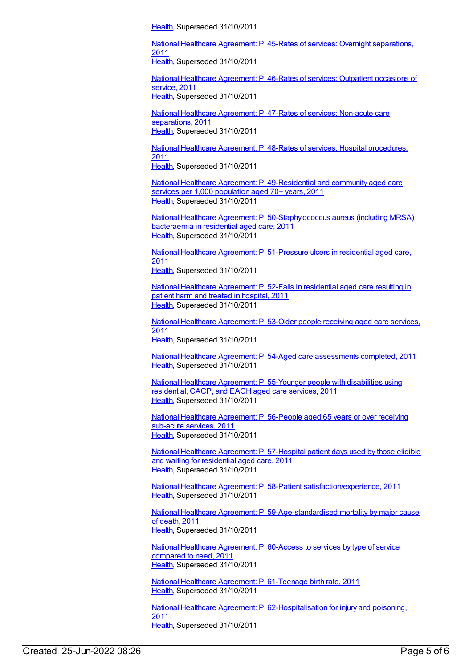[Health](https://meteor.aihw.gov.au/RegistrationAuthority/12), Superseded 31/10/2011

National Healthcare Agreement: PI 45-Rates of services: Overnight [separations,](https://meteor.aihw.gov.au/content/421602) 2011 [Health](https://meteor.aihw.gov.au/RegistrationAuthority/12), Superseded 31/10/2011

National Healthcare [Agreement:](https://meteor.aihw.gov.au/content/421600) PI 46-Rates of services: Outpatient occasions of service, 2011 [Health](https://meteor.aihw.gov.au/RegistrationAuthority/12), Superseded 31/10/2011

National Healthcare [Agreement:](https://meteor.aihw.gov.au/content/421598) PI 47-Rates of services: Non-acute care separations, 2011 [Health](https://meteor.aihw.gov.au/RegistrationAuthority/12), Superseded 31/10/2011

National Healthcare [Agreement:](https://meteor.aihw.gov.au/content/421596) PI 48-Rates of services: Hospital procedures, 2011 [Health](https://meteor.aihw.gov.au/RegistrationAuthority/12), Superseded 31/10/2011

National Healthcare Agreement: PI [49-Residential](https://meteor.aihw.gov.au/content/421561) and community aged care services per 1,000 population aged 70+ years, 2011 [Health](https://meteor.aihw.gov.au/RegistrationAuthority/12), Superseded 31/10/2011

National Healthcare Agreement: PI [50-Staphylococcus](https://meteor.aihw.gov.au/content/403151) aureus (including MRSA) bacteraemia in residential aged care, 2011 [Health](https://meteor.aihw.gov.au/RegistrationAuthority/12), Superseded 31/10/2011

National Healthcare Agreement: PI [51-Pressure](https://meteor.aihw.gov.au/content/403161) ulcers in residential aged care, 2011 [Health](https://meteor.aihw.gov.au/RegistrationAuthority/12), Superseded 31/10/2011

National Healthcare [Agreement:](https://meteor.aihw.gov.au/content/421559) PI 52-Falls in residential aged care resulting in patient harm and treated in hospital, 2011 [Health](https://meteor.aihw.gov.au/RegistrationAuthority/12), Superseded 31/10/2011

National Healthcare [Agreement:](https://meteor.aihw.gov.au/content/421552) PI 53-Older people receiving aged care services, 2011 [Health](https://meteor.aihw.gov.au/RegistrationAuthority/12), Superseded 31/10/2011

National Healthcare Agreement: PI 54-Aged care [assessments](https://meteor.aihw.gov.au/content/421550) completed, 2011 [Health](https://meteor.aihw.gov.au/RegistrationAuthority/12), Superseded 31/10/2011

National Healthcare [Agreement:](https://meteor.aihw.gov.au/content/421548) PI 55-Younger people with disabilities using residential, CACP, and EACH aged care services, 2011 [Health](https://meteor.aihw.gov.au/RegistrationAuthority/12), Superseded 31/10/2011

National Healthcare [Agreement:](https://meteor.aihw.gov.au/content/421544) PI 56-People aged 65 years or over receiving sub-acute services, 2011 [Health](https://meteor.aihw.gov.au/RegistrationAuthority/12), Superseded 31/10/2011

National Healthcare [Agreement:](https://meteor.aihw.gov.au/content/403166) PI 57-Hospital patient days used by those eligible and waiting for residential aged care, 2011 [Health](https://meteor.aihw.gov.au/RegistrationAuthority/12), Superseded 31/10/2011

National Healthcare Agreement: PI 58-Patient [satisfaction/experience,](https://meteor.aihw.gov.au/content/402446) 2011 [Health](https://meteor.aihw.gov.au/RegistrationAuthority/12), Superseded 31/10/2011

National Healthcare Agreement: PI [59-Age-standardised](https://meteor.aihw.gov.au/content/421594) mortality by major cause of death, 2011 [Health](https://meteor.aihw.gov.au/RegistrationAuthority/12), Superseded 31/10/2011

National Healthcare [Agreement:](https://meteor.aihw.gov.au/content/421592) PI 60-Access to services by type of service compared to need, 2011 [Health](https://meteor.aihw.gov.au/RegistrationAuthority/12), Superseded 31/10/2011

National Healthcare Agreement: PI [61-Teenage](https://meteor.aihw.gov.au/content/421590) birth rate, 2011 [Health](https://meteor.aihw.gov.au/RegistrationAuthority/12), Superseded 31/10/2011

National Healthcare Agreement: PI [62-Hospitalisation](https://meteor.aihw.gov.au/content/421587) for injury and poisoning, 2011 [Health](https://meteor.aihw.gov.au/RegistrationAuthority/12), Superseded 31/10/2011